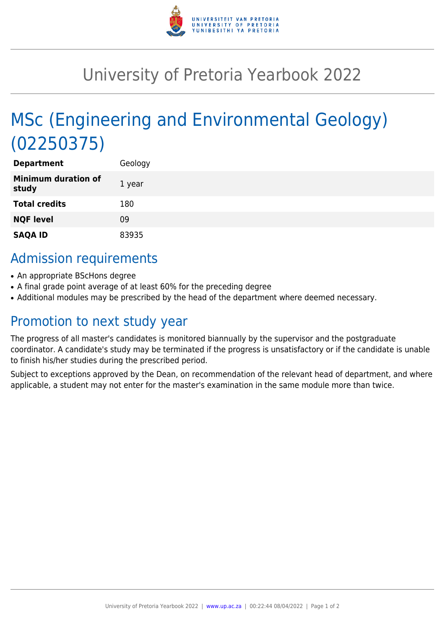

## University of Pretoria Yearbook 2022

# MSc (Engineering and Environmental Geology) (02250375)

| <b>Department</b>                   | Geology |
|-------------------------------------|---------|
| <b>Minimum duration of</b><br>study | 1 year  |
| <b>Total credits</b>                | 180     |
| <b>NQF level</b>                    | 09      |
| <b>SAQA ID</b>                      | 83935   |

### Admission requirements

- An appropriate BScHons degree
- A final grade point average of at least 60% for the preceding degree
- Additional modules may be prescribed by the head of the department where deemed necessary.

### Promotion to next study year

The progress of all master's candidates is monitored biannually by the supervisor and the postgraduate coordinator. A candidate's study may be terminated if the progress is unsatisfactory or if the candidate is unable to finish his/her studies during the prescribed period.

Subject to exceptions approved by the Dean, on recommendation of the relevant head of department, and where applicable, a student may not enter for the master's examination in the same module more than twice.